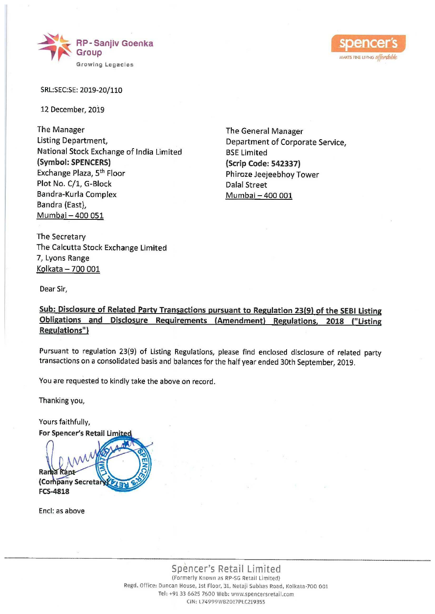



SRL:SEC:SE: 2019-20/110

12 December, 2019

The Manager Listing Department, National Stock Exchange of India Limited (Symbol: SPENCERS) Exchange Plaza, 5" Floor Plot No. C/1, G-Block Bandra-Kurla Complex Bandra (East), Mumbai — 400 051 Listing Department,<br>
National Stock Exchange of India Limited<br>
National Stock Exchange of India Limited<br>
Exchange Plaza, 5<sup>th</sup> Floor<br>
Plot No. (21, G-Block<br>
Bandra-Kurla Complex<br>
Bandra (East),<br>
<u>Mumbai - 400 051</u><br>
The Sec

The General Manager Department of Corporate Service, BSE Limited (Scrip Code: 542337) Phiroze Jeejeebhoy Tower Dalal Street Mumbai — 400 001

The Secretary The Calcutta Stock Exchange Limited 7, Lyons Range Kolkata — 700 001

Dear Sir,

Sub: Disclosure of Related Party Transactions pursuant to Regulation 23(9) of the SEBI Listing Obligations and\_\_ Disclosure Requirements (Amendment) Regulations, 2018 ("Listing Regulations")

Pursuant to regulation 23(9) of Listing Regulations, please find enclosed disclosure of related party transactions on a consolidated basis and balances for the half year ended 30th September, 2019.

You are requested to kindly take the above on record.

Thanking you,

Yours faithfully,

For Spencer's Retail Limite  $\mathcal{W}$ Ranha Rant FCS-4818

Encl: as above